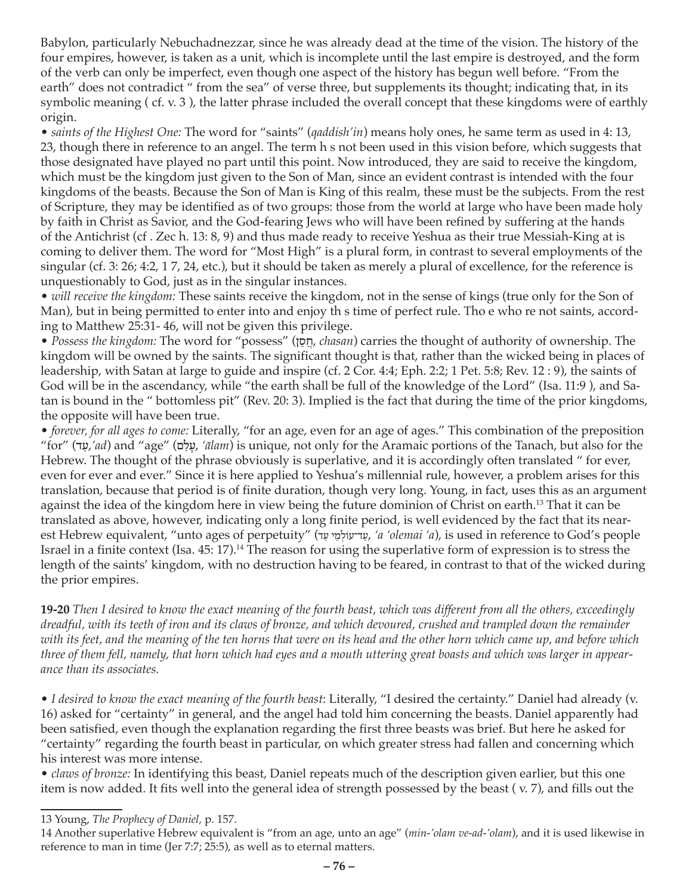Babylon, particularly Nebuchadnezzar, since he was already dead at the time of the vision. The history of the four empires, however, is taken as a unit, which is incomplete until the last empire is destroyed, and the form of the verb can only be imperfect, even though one aspect of the history has begun well before. "From the earth" does not contradict " from the sea" of verse three, but supplements its thought; indicating that, in its symbolic meaning ( cf. v. 3 ), the latter phrase included the overall concept that these kingdoms were of earthly origin.

• *saints of the Highest One:* The word for "saints" (*qaddish'in*) means holy ones, he same term as used in 4: 13, 23, though there in reference to an angel. The term h s not been used in this vision before, which suggests that those designated have played no part until this point. Now introduced, they are said to receive the kingdom, which must be the kingdom just given to the Son of Man, since an evident contrast is intended with the four kingdoms of the beasts. Because the Son of Man is King of this realm, these must be the subjects. From the rest of Scripture, they may be identified as of two groups: those from the world at large who have been made holy by faith in Christ as Savior, and the God-fearing Jews who will have been refined by suffering at the hands of the Antichrist (cf . Zec h. 13: 8, 9) and thus made ready to receive Yeshua as their true Messiah-King at is coming to deliver them. The word for "Most High" is a plural form, in contrast to several employments of the singular (cf. 3: 26; 4:2, 1 7, 24, etc.), but it should be taken as merely a plural of excellence, for the reference is unquestionably to God, just as in the singular instances.

• *will receive the kingdom:* These saints receive the kingdom, not in the sense of kings (true only for the Son of Man), but in being permitted to enter into and enjoy th s time of perfect rule. Tho e who re not saints, according to Matthew 25:31- 46, will not be given this privilege.

• *Possess the kingdom:* The word for "possess" (ן ַס ֲח, *chasan*) carries the thought of authority of ownership. The kingdom will be owned by the saints. The significant thought is that, rather than the wicked being in places of leadership, with Satan at large to guide and inspire (cf. 2 Cor. 4:4; Eph. 2:2; 1 Pet. 5:8; Rev. 12 : 9), the saints of God will be in the ascendancy, while "the earth shall be full of the knowledge of the Lord" (Isa. 11:9 ), and Satan is bound in the " bottomless pit" (Rev. 20: 3). Implied is the fact that during the time of the prior kingdoms, the opposite will have been true.

• *forever, for all ages to come:* Literally, "for an age, even for an age of ages." This combination of the preposition "for" (ד ַע,*'ad*) and "age" (ם ַל ָע,*' ālam*) is unique, not only for the Aramaic portions of the Tanach, but also for the Hebrew. The thought of the phrase obviously is superlative, and it is accordingly often translated " for ever, even for ever and ever." Since it is here applied to Yeshua's millennial rule, however, a problem arises for this translation, because that period is of finite duration, though very long. Young, in fact, uses this as an argument against the idea of the kingdom here in view being the future dominion of Christ on earth.13 That it can be translated as above, however, indicating only a long finite period, is well evidenced by the fact that its nearest Hebrew equivalent, "unto ages of perpetuity" (עד־עוֹלמי עד, 'a 'olemai 'a), is used in reference to God's people Israel in a finite context (Isa. 45: 17).14 The reason for using the superlative form of expression is to stress the length of the saints' kingdom, with no destruction having to be feared, in contrast to that of the wicked during the prior empires.

**19-20** *Then I desired to know the exact meaning of the fourth beast, which was different from all the others, exceedingly dreadful, with its teeth of iron and its claws of bronze, and which devoured, crushed and trampled down the remainder with its feet, and the meaning of the ten horns that were on its head and the other horn which came up, and before which three of them fell, namely, that horn which had eyes and a mouth uttering great boasts and which was larger in appearance than its associates.*

• *I desired to know the exact meaning of the fourth beast*: Literally, "I desired the certainty." Daniel had already (v. 16) asked for "certainty" in general, and the angel had told him concerning the beasts. Daniel apparently had been satisfied, even though the explanation regarding the first three beasts was brief. But here he asked for "certainty" regarding the fourth beast in particular, on which greater stress had fallen and concerning which his interest was more intense.

• *claws of bronze:* In identifying this beast, Daniel repeats much of the description given earlier, but this one item is now added. It fits well into the general idea of strength possessed by the beast ( v. 7), and fills out the

<sup>13</sup> Young, *The Prophecy of Daniel,* p. 157.

<sup>14</sup> Another superlative Hebrew equivalent is "from an age, unto an age" (*min-'olam ve-ad-'olam*), and it is used likewise in reference to man in time (Jer 7:7; 25:5), as well as to eternal matters.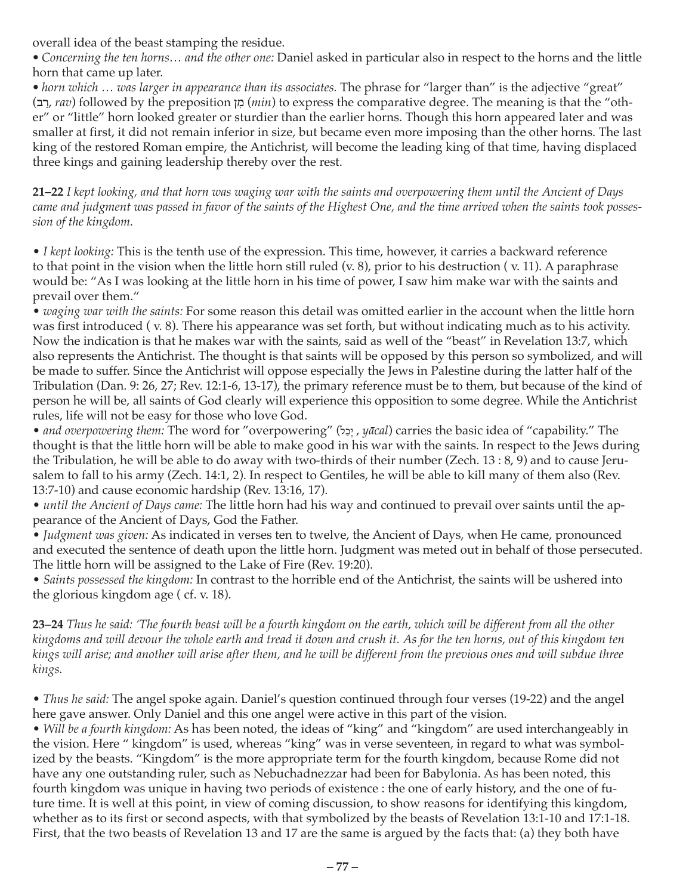overall idea of the beast stamping the residue.

*• Concerning the ten horns… and the other one:* Daniel asked in particular also in respect to the horns and the little horn that came up later.

*• horn which … was larger in appearance than its associates.* The phrase for "larger than" is the adjective "great" (ב ַר, *rav*) followed by the preposition ן ִמ) *min*) to express the comparative degree. The meaning is that the "other" or "little" horn looked greater or sturdier than the earlier horns. Though this horn appeared later and was smaller at first, it did not remain inferior in size, but became even more imposing than the other horns. The last king of the restored Roman empire, the Antichrist, will become the leading king of that time, having displaced three kings and gaining leadership thereby over the rest.

**21–22** *I kept looking, and that horn was waging war with the saints and overpowering them until the Ancient of Days came and judgment was passed in favor of the saints of the Highest One, and the time arrived when the saints took possession of the kingdom.*

• *I kept looking:* This is the tenth use of the expression. This time, however, it carries a backward reference to that point in the vision when the little horn still ruled (v. 8), prior to his destruction ( v. 11). A paraphrase would be: "As I was looking at the little horn in his time of power, I saw him make war with the saints and prevail over them."

• *waging war with the saints:* For some reason this detail was omitted earlier in the account when the little horn was first introduced ( v. 8). There his appearance was set forth, but without indicating much as to his activity. Now the indication is that he makes war with the saints, said as well of the "beast" in Revelation 13:7, which also represents the Antichrist. The thought is that saints will be opposed by this person so symbolized, and will be made to suffer. Since the Antichrist will oppose especially the Jews in Palestine during the latter half of the Tribulation (Dan. 9: 26, 27; Rev. 12:1-6, 13-17), the primary reference must be to them, but because of the kind of person he will be, all saints of God clearly will experience this opposition to some degree. While the Antichrist rules, life will not be easy for those who love God.

• *and overpowering them:* The word for "overpowering" (יָכָל, *yācal*) carries the basic idea of "capability." The thought is that the little horn will be able to make good in his war with the saints. In respect to the Jews during the Tribulation, he will be able to do away with two-thirds of their number (Zech. 13 : 8, 9) and to cause Jerusalem to fall to his army (Zech. 14:1, 2). In respect to Gentiles, he will be able to kill many of them also (Rev. 13:7-10) and cause economic hardship (Rev. 13:16, 17).

• *until the Ancient of Days came:* The little horn had his way and continued to prevail over saints until the appearance of the Ancient of Days, God the Father.

• *Judgment was given:* As indicated in verses ten to twelve, the Ancient of Days, when He came, pronounced and executed the sentence of death upon the little horn. Judgment was meted out in behalf of those persecuted. The little horn will be assigned to the Lake of Fire (Rev. 19:20).

• *Saints possessed the kingdom:* In contrast to the horrible end of the Antichrist, the saints will be ushered into the glorious kingdom age ( cf. v. 18).

**23–24** *Thus he said: 'The fourth beast will be a fourth kingdom on the earth, which will be different from all the other kingdoms and will devour the whole earth and tread it down and crush it. As for the ten horns, out of this kingdom ten kings will arise; and another will arise after them, and he will be different from the previous ones and will subdue three kings.*

• *Thus he said:* The angel spoke again. Daniel's question continued through four verses (19-22) and the angel here gave answer. Only Daniel and this one angel were active in this part of the vision.

• *Will be a fourth kingdom:* As has been noted, the ideas of "king" and "kingdom" are used interchangeably in the vision. Here " kingdom" is used, whereas "king" was in verse seventeen, in regard to what was symbolized by the beasts. "Kingdom" is the more appropriate term for the fourth kingdom, because Rome did not have any one outstanding ruler, such as Nebuchadnezzar had been for Babylonia. As has been noted, this fourth kingdom was unique in having two periods of existence : the one of early history, and the one of future time. It is well at this point, in view of coming discussion, to show reasons for identifying this kingdom, whether as to its first or second aspects, with that symbolized by the beasts of Revelation 13:1-10 and 17:1-18. First, that the two beasts of Revelation 13 and 17 are the same is argued by the facts that: (a) they both have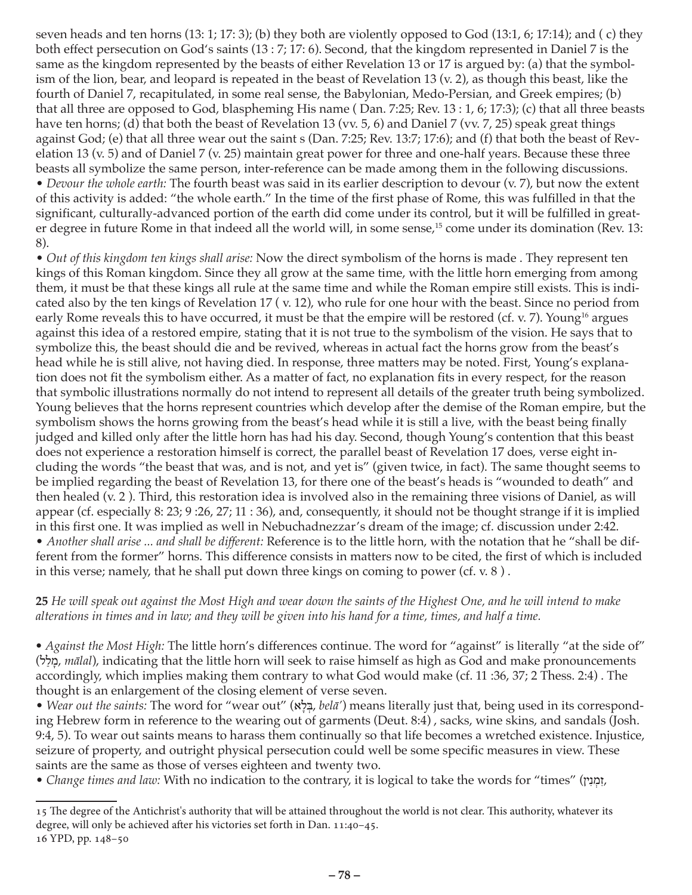seven heads and ten horns (13: 1; 17: 3); (b) they both are violently opposed to God (13:1, 6; 17:14); and ( c) they both effect persecution on God's saints (13 : 7; 17: 6). Second, that the kingdom represented in Daniel 7 is the same as the kingdom represented by the beasts of either Revelation 13 or 17 is argued by: (a) that the symbolism of the lion, bear, and leopard is repeated in the beast of Revelation 13 (v. 2), as though this beast, like the fourth of Daniel 7, recapitulated, in some real sense, the Babylonian, Medo-Persian, and Greek empires; (b) that all three are opposed to God, blaspheming His name ( Dan. 7:25; Rev. 13 : 1, 6; 17:3); (c) that all three beasts have ten horns; (d) that both the beast of Revelation 13 (vv. 5, 6) and Daniel 7 (vv. 7, 25) speak great things against God; (e) that all three wear out the saint s (Dan. 7:25; Rev. 13:7; 17:6); and (f) that both the beast of Revelation 13 (v. 5) and of Daniel 7 (v. 25) maintain great power for three and one-half years. Because these three beasts all symbolize the same person, inter-reference can be made among them in the following discussions. • *Devour the whole earth:* The fourth beast was said in its earlier description to devour (v. 7), but now the extent of this activity is added: "the whole earth." In the time of the first phase of Rome, this was fulfilled in that the significant, culturally-advanced portion of the earth did come under its control, but it will be fulfilled in greater degree in future Rome in that indeed all the world will, in some sense,<sup>15</sup> come under its domination (Rev. 13: 8).

• *Out of this kingdom ten kings shall arise:* Now the direct symbolism of the horns is made . They represent ten kings of this Roman kingdom. Since they all grow at the same time, with the little horn emerging from among them, it must be that these kings all rule at the same time and while the Roman empire still exists. This is indicated also by the ten kings of Revelation 17 ( v. 12), who rule for one hour with the beast. Since no period from early Rome reveals this to have occurred, it must be that the empire will be restored (cf. v. 7). Young<sup>16</sup> argues against this idea of a restored empire, stating that it is not true to the symbolism of the vision. He says that to symbolize this, the beast should die and be revived, whereas in actual fact the horns grow from the beast's head while he is still alive, not having died. In response, three matters may be noted. First, Young's explanation does not fit the symbolism either. As a matter of fact, no explanation fits in every respect, for the reason that symbolic illustrations normally do not intend to represent all details of the greater truth being symbolized. Young believes that the horns represent countries which develop after the demise of the Roman empire, but the symbolism shows the horns growing from the beast's head while it is still a live, with the beast being finally judged and killed only after the little horn has had his day. Second, though Young's contention that this beast does not experience a restoration himself is correct, the parallel beast of Revelation 17 does, verse eight including the words "the beast that was, and is not, and yet is" (given twice, in fact). The same thought seems to be implied regarding the beast of Revelation 13, for there one of the beast's heads is "wounded to death" and then healed (v. 2 ). Third, this restoration idea is involved also in the remaining three visions of Daniel, as will appear (cf. especially 8: 23; 9 :26, 27; 11 : 36), and, consequently, it should not be thought strange if it is implied in this first one. It was implied as well in Nebuchadnezzar's dream of the image; cf. discussion under 2:42. • *Another shall arise ... and shall be different:* Reference is to the little horn, with the notation that he "shall be different from the former" horns. This difference consists in matters now to be cited, the first of which is included in this verse; namely, that he shall put down three kings on coming to power (cf. v. 8 ) .

**25** *He will speak out against the Most High and wear down the saints of the Highest One, and he will intend to make alterations in times and in law; and they will be given into his hand for a time, times, and half a time.*

*• Against the Most High:* The little horn's differences continue. The word for "against" is literally "at the side of" מלל), *mālal*), indicating that the little horn will seek to raise himself as high as God and make pronouncements accordingly, which implies making them contrary to what God would make (cf. 11 :36, 37; 2 Thess. 2:4) . The thought is an enlargement of the closing element of verse seven.

• *Wear out the saints:* The word for "wear out" (א ָל ְבּ, *belā'*) means literally just that, being used in its corresponding Hebrew form in reference to the wearing out of garments (Deut. 8:4) , sacks, wine skins, and sandals (Josh. 9:4, 5). To wear out saints means to harass them continually so that life becomes a wretched existence. Injustice, seizure of property, and outright physical persecution could well be some specific measures in view. These saints are the same as those of verses eighteen and twenty two.

• *Change times and law*: With no indication to the contrary, it is logical to take the words for "times" (זְמָנָי

<sup>15</sup> The degree of the Antichrist's authority that will be attained throughout the world is not clear. This authority, whatever its degree, will only be achieved after his victories set forth in Dan. 11:40–45. 16 YPD, pp. 148–50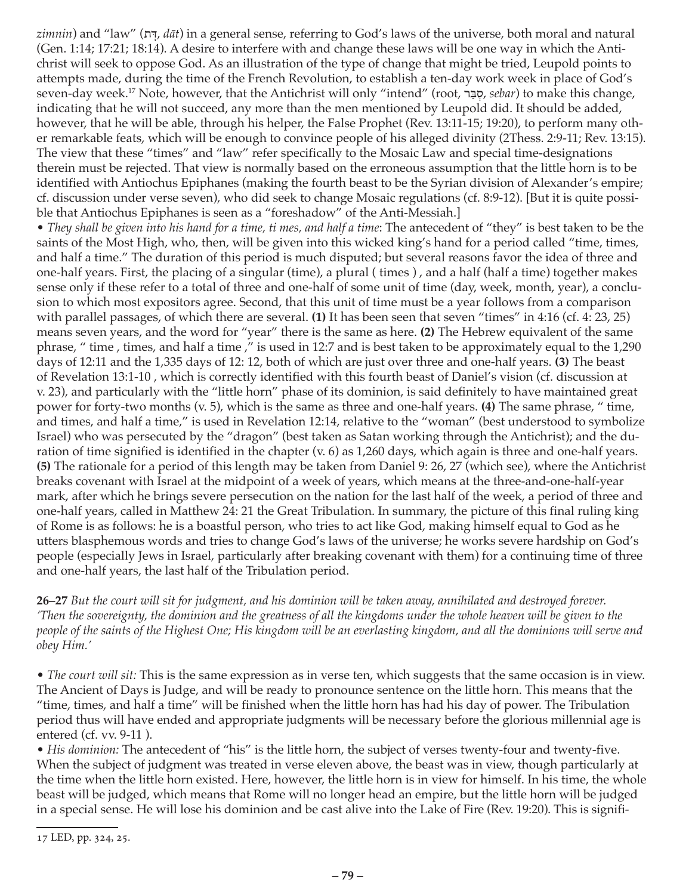*zimnin*) and "law" (ת *dāt*) in a general sense, referring to God's laws of the universe, both moral and natural (Gen. 1:14; 17:21; 18:14). A desire to interfere with and change these laws will be one way in which the Antichrist will seek to oppose God. As an illustration of the type of change that might be tried, Leupold points to attempts made, during the time of the French Revolution, to establish a ten-day work week in place of God's seven-day week.17 Note, however, that the Antichrist will only "intend" (root, ר ַבּ ְס, *sebar*) to make this change, indicating that he will not succeed, any more than the men mentioned by Leupold did. It should be added, however, that he will be able, through his helper, the False Prophet (Rev. 13:11-15; 19:20), to perform many other remarkable feats, which will be enough to convince people of his alleged divinity (2Thess. 2:9-11; Rev. 13:15). The view that these "times" and "law" refer specifically to the Mosaic Law and special time-designations therein must be rejected. That view is normally based on the erroneous assumption that the little horn is to be identified with Antiochus Epiphanes (making the fourth beast to be the Syrian division of Alexander's empire; cf. discussion under verse seven), who did seek to change Mosaic regulations (cf. 8:9-12). [But it is quite possible that Antiochus Epiphanes is seen as a "foreshadow" of the Anti-Messiah.]

• *They shall be given into his hand for a time, ti mes, and half a time*: The antecedent of "they" is best taken to be the saints of the Most High, who, then, will be given into this wicked king's hand for a period called "time, times, and half a time." The duration of this period is much disputed; but several reasons favor the idea of three and one-half years. First, the placing of a singular (time), a plural ( times ) , and a half (half a time) together makes sense only if these refer to a total of three and one-half of some unit of time (day, week, month, year), a conclusion to which most expositors agree. Second, that this unit of time must be a year follows from a comparison with parallel passages, of which there are several. **(1)** It has been seen that seven "times" in 4:16 (cf. 4: 23, 25) means seven years, and the word for "year" there is the same as here. **(2)** The Hebrew equivalent of the same phrase, " time , times, and half a time ," is used in 12:7 and is best taken to be approximately equal to the 1,290 days of 12:11 and the 1,335 days of 12: 12, both of which are just over three and one-half years. **(3)** The beast of Revelation 13:1-10 , which is correctly identified with this fourth beast of Daniel's vision (cf. discussion at v. 23), and particularly with the "little horn" phase of its dominion, is said definitely to have maintained great power for forty-two months (v. 5), which is the same as three and one-half years. **(4)** The same phrase, " time, and times, and half a time," is used in Revelation 12:14, relative to the "woman" (best understood to symbolize Israel) who was persecuted by the "dragon" (best taken as Satan working through the Antichrist); and the duration of time signified is identified in the chapter (v. 6) as 1,260 days, which again is three and one-half years. **(5)** The rationale for a period of this length may be taken from Daniel 9: 26, 27 (which see), where the Antichrist breaks covenant with Israel at the midpoint of a week of years, which means at the three-and-one-half-year mark, after which he brings severe persecution on the nation for the last half of the week, a period of three and one-half years, called in Matthew 24: 21 the Great Tribulation. In summary, the picture of this final ruling king of Rome is as follows: he is a boastful person, who tries to act like God, making himself equal to God as he utters blasphemous words and tries to change God's laws of the universe; he works severe hardship on God's people (especially Jews in Israel, particularly after breaking covenant with them) for a continuing time of three and one-half years, the last half of the Tribulation period.

**26–27** *But the court will sit for judgment, and his dominion will be taken away, annihilated and destroyed forever. 'Then the sovereignty, the dominion and the greatness of all the kingdoms under the whole heaven will be given to the people of the saints of the Highest One; His kingdom will be an everlasting kingdom, and all the dominions will serve and obey Him.'*

• *The court will sit:* This is the same expression as in verse ten, which suggests that the same occasion is in view. The Ancient of Days is Judge, and will be ready to pronounce sentence on the little horn. This means that the "time, times, and half a time" will be finished when the little horn has had his day of power. The Tribulation period thus will have ended and appropriate judgments will be necessary before the glorious millennial age is entered (cf. vv. 9-11 ).

• *His dominion:* The antecedent of "his" is the little horn, the subject of verses twenty-four and twenty-five. When the subject of judgment was treated in verse eleven above, the beast was in view, though particularly at the time when the little horn existed. Here, however, the little horn is in view for himself. In his time, the whole beast will be judged, which means that Rome will no longer head an empire, but the little horn will be judged in a special sense. He will lose his dominion and be cast alive into the Lake of Fire (Rev. 19:20). This is signifi-

<sup>17</sup> LED, pp. 324, 25.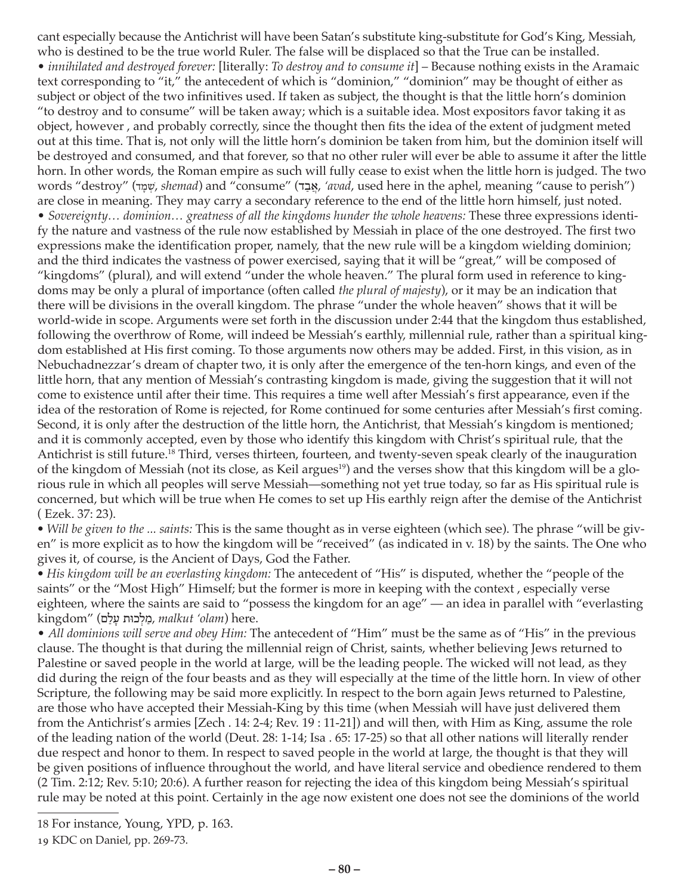cant especially because the Antichrist will have been Satan's substitute king-substitute for God's King, Messiah, who is destined to be the true world Ruler. The false will be displaced so that the True can be installed. • *innihilated and destroyed forever:* [literally: *To destroy and to consume it*] – Because nothing exists in the Aramaic text corresponding to "it," the antecedent of which is "dominion," "dominion" may be thought of either as subject or object of the two infinitives used. If taken as subject, the thought is that the little horn's dominion "to destroy and to consume" will be taken away; which is a suitable idea. Most expositors favor taking it as object, however , and probably correctly, since the thought then fits the idea of the extent of judgment meted out at this time. That is, not only will the little horn's dominion be taken from him, but the dominion itself will be destroyed and consumed, and that forever, so that no other ruler will ever be able to assume it after the little horn. In other words, the Roman empire as such will fully cease to exist when the little horn is judged. The two words "destroy" (שִׁמַּד, shemad) and "consume" (אֵבָר, 'avad, used here in the aphel, meaning "cause to perish") are close in meaning. They may carry a secondary reference to the end of the little horn himself, just noted. • *Sovereignty… dominion… greatness of all the kingdoms hunder the whole heavens:* These three expressions identify the nature and vastness of the rule now established by Messiah in place of the one destroyed. The first two expressions make the identification proper, namely, that the new rule will be a kingdom wielding dominion; and the third indicates the vastness of power exercised, saying that it will be "great," will be composed of "kingdoms" (plural), and will extend "under the whole heaven." The plural form used in reference to kingdoms may be only a plural of importance (often called *the plural of majesty*), or it may be an indication that there will be divisions in the overall kingdom. The phrase "under the whole heaven" shows that it will be world-wide in scope. Arguments were set forth in the discussion under 2:44 that the kingdom thus established, following the overthrow of Rome, will indeed be Messiah's earthly, millennial rule, rather than a spiritual kingdom established at His first coming. To those arguments now others may be added. First, in this vision, as in Nebuchadnezzar's dream of chapter two, it is only after the emergence of the ten-horn kings, and even of the little horn, that any mention of Messiah's contrasting kingdom is made, giving the suggestion that it will not come to existence until after their time. This requires a time well after Messiah's first appearance, even if the idea of the restoration of Rome is rejected, for Rome continued for some centuries after Messiah's first coming. Second, it is only after the destruction of the little horn, the Antichrist, that Messiah's kingdom is mentioned; and it is commonly accepted, even by those who identify this kingdom with Christ's spiritual rule, that the Antichrist is still future.18 Third, verses thirteen, fourteen, and twenty-seven speak clearly of the inauguration of the kingdom of Messiah (not its close, as Keil argues<sup>19</sup>) and the verses show that this kingdom will be a glorious rule in which all peoples will serve Messiah—something not yet true today, so far as His spiritual rule is concerned, but which will be true when He comes to set up His earthly reign after the demise of the Antichrist ( Ezek. 37: 23).

*• Will be given to the ... saints:* This is the same thought as in verse eighteen (which see). The phrase "will be given" is more explicit as to how the kingdom will be "received" (as indicated in v. 18) by the saints. The One who gives it, of course, is the Ancient of Days, God the Father.

*• His kingdom will be an everlasting kingdom:* The antecedent of "His" is disputed, whether the "people of the saints" or the "Most High" Himself; but the former is more in keeping with the context , especially verse eighteen, where the saints are said to "possess the kingdom for an age" — an idea in parallel with "everlasting kingdom" (מַלְכוּת עַלָם, malkut 'olam) here.

• *All dominions will serve and obey Him:* The antecedent of "Him" must be the same as of "His" in the previous clause. The thought is that during the millennial reign of Christ, saints, whether believing Jews returned to Palestine or saved people in the world at large, will be the leading people. The wicked will not lead, as they did during the reign of the four beasts and as they will especially at the time of the little horn. In view of other Scripture, the following may be said more explicitly. In respect to the born again Jews returned to Palestine, are those who have accepted their Messiah-King by this time (when Messiah will have just delivered them from the Antichrist's armies [Zech . 14: 2-4; Rev. 19 : 11-21]) and will then, with Him as King, assume the role of the leading nation of the world (Deut. 28: 1-14; Isa . 65: 17-25) so that all other nations will literally render due respect and honor to them. In respect to saved people in the world at large, the thought is that they will be given positions of influence throughout the world, and have literal service and obedience rendered to them (2 Tim. 2:12; Rev. 5:10; 20:6). A further reason for rejecting the idea of this kingdom being Messiah's spiritual rule may be noted at this point. Certainly in the age now existent one does not see the dominions of the world

<sup>18</sup> For instance, Young, YPD, p. 163.

<sup>19</sup> KDC on Daniel, pp. 269-73.